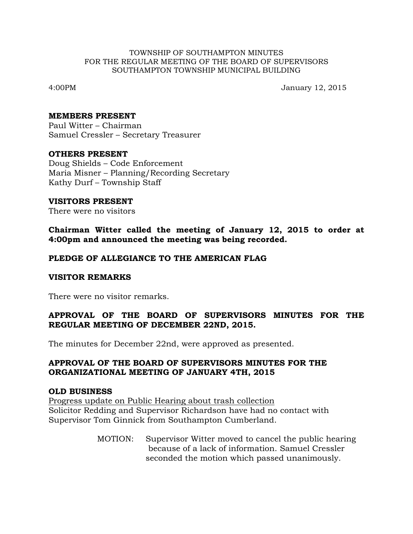#### TOWNSHIP OF SOUTHAMPTON MINUTES FOR THE REGULAR MEETING OF THE BOARD OF SUPERVISORS SOUTHAMPTON TOWNSHIP MUNICIPAL BUILDING

4:00PM January 12, 2015

### **MEMBERS PRESENT**

Paul Witter – Chairman Samuel Cressler – Secretary Treasurer

### **OTHERS PRESENT**

Doug Shields – Code Enforcement Maria Misner – Planning/Recording Secretary Kathy Durf – Township Staff

### **VISITORS PRESENT**

There were no visitors

**Chairman Witter called the meeting of January 12, 2015 to order at 4:00pm and announced the meeting was being recorded.**

## **PLEDGE OF ALLEGIANCE TO THE AMERICAN FLAG**

### **VISITOR REMARKS**

There were no visitor remarks.

## **APPROVAL OF THE BOARD OF SUPERVISORS MINUTES FOR THE REGULAR MEETING OF DECEMBER 22ND, 2015.**

The minutes for December 22nd, were approved as presented.

## **APPROVAL OF THE BOARD OF SUPERVISORS MINUTES FOR THE ORGANIZATIONAL MEETING OF JANUARY 4TH, 2015**

### **OLD BUSINESS**

Progress update on Public Hearing about trash collection Solicitor Redding and Supervisor Richardson have had no contact with Supervisor Tom Ginnick from Southampton Cumberland.

> MOTION: Supervisor Witter moved to cancel the public hearing because of a lack of information. Samuel Cressler seconded the motion which passed unanimously.